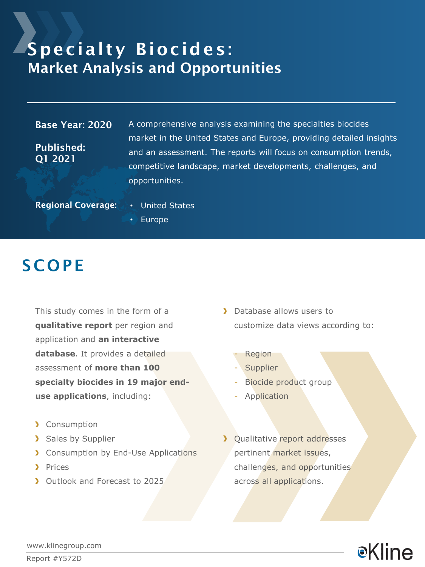### Specialty Biocides: Market Analysis and Opportunities

#### Base Year: 2020

Published: Q1 2021

A comprehensive analysis examining the specialties biocides market in the United States and Europe, providing detailed insights and an assessment. The reports will focus on consumption trends, competitive landscape, market developments, challenges, and opportunities.

Regional Coverage: • United States

• Europe

### **SCOPE**

This study comes in the form of a **qualitative report** per region and application and **an interactive database**. It provides a detailed assessment of **more than 100 specialty biocides in 19 major enduse applications**, including:

- > Consumption
- > Sales by Supplier
- **Consumption by End-Use Applications**
- > Prices
- Dutlook and Forecast to 2025
- > Database allows users to customize data views according to:
	- **Region**
	- **Supplier**
	- Biocide product group
	- **Application**
- > Qualitative report addresses pertinent market issues, challenges, and opportunities across all applications.



www.klinegroup.com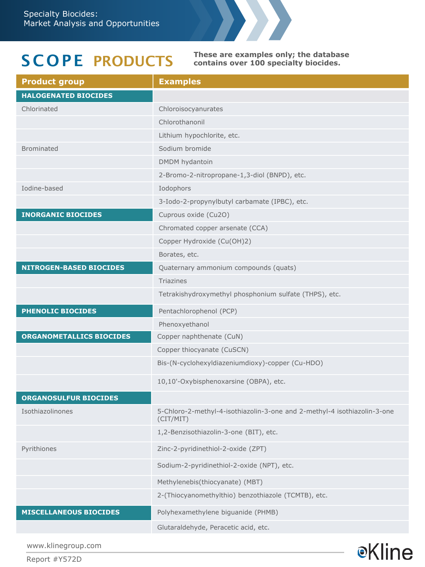# S COPE PRODUCTS

**These are examples only; the database contains over 100 specialty biocides.**

**e**Kline

| <b>Product group</b>            | <b>Examples</b>                                                                       |  |  |  |
|---------------------------------|---------------------------------------------------------------------------------------|--|--|--|
| <b>HALOGENATED BIOCIDES</b>     |                                                                                       |  |  |  |
| Chlorinated                     | Chloroisocyanurates                                                                   |  |  |  |
|                                 | Chlorothanonil                                                                        |  |  |  |
|                                 | Lithium hypochlorite, etc.                                                            |  |  |  |
| <b>Brominated</b>               | Sodium bromide                                                                        |  |  |  |
|                                 | DMDM hydantoin                                                                        |  |  |  |
|                                 | 2-Bromo-2-nitropropane-1,3-diol (BNPD), etc.                                          |  |  |  |
| Iodine-based                    | Iodophors                                                                             |  |  |  |
|                                 | 3-Iodo-2-propynylbutyl carbamate (IPBC), etc.                                         |  |  |  |
| <b>INORGANIC BIOCIDES</b>       | Cuprous oxide (Cu2O)                                                                  |  |  |  |
|                                 | Chromated copper arsenate (CCA)                                                       |  |  |  |
|                                 | Copper Hydroxide (Cu(OH)2)                                                            |  |  |  |
|                                 | Borates, etc.                                                                         |  |  |  |
| <b>NITROGEN-BASED BIOCIDES</b>  | Quaternary ammonium compounds (quats)                                                 |  |  |  |
|                                 | <b>Triazines</b>                                                                      |  |  |  |
|                                 | Tetrakishydroxymethyl phosphonium sulfate (THPS), etc.                                |  |  |  |
| <b>PHENOLIC BIOCIDES</b>        | Pentachlorophenol (PCP)                                                               |  |  |  |
|                                 | Phenoxyethanol                                                                        |  |  |  |
| <b>ORGANOMETALLICS BIOCIDES</b> | Copper naphthenate (CuN)                                                              |  |  |  |
|                                 | Copper thiocyanate (CuSCN)                                                            |  |  |  |
|                                 | Bis-(N-cyclohexyldiazeniumdioxy)-copper (Cu-HDO)                                      |  |  |  |
|                                 | 10,10'-Oxybisphenoxarsine (OBPA), etc.                                                |  |  |  |
| <b>ORGANOSULFUR BIOCIDES</b>    |                                                                                       |  |  |  |
| Isothiazolinones                | 5-Chloro-2-methyl-4-isothiazolin-3-one and 2-methyl-4 isothiazolin-3-one<br>(CIT/MIT) |  |  |  |
|                                 | 1,2-Benzisothiazolin-3-one (BIT), etc.                                                |  |  |  |
| Pyrithiones                     | Zinc-2-pyridinethiol-2-oxide (ZPT)                                                    |  |  |  |
|                                 | Sodium-2-pyridinethiol-2-oxide (NPT), etc.                                            |  |  |  |
|                                 | Methylenebis(thiocyanate) (MBT)                                                       |  |  |  |
|                                 | 2-(Thiocyanomethylthio) benzothiazole (TCMTB), etc.                                   |  |  |  |
| <b>MISCELLANEOUS BIOCIDES</b>   | Polyhexamethylene biguanide (PHMB)                                                    |  |  |  |
|                                 | Glutaraldehyde, Peracetic acid, etc.                                                  |  |  |  |

www.klinegroup.com

Report #Y572D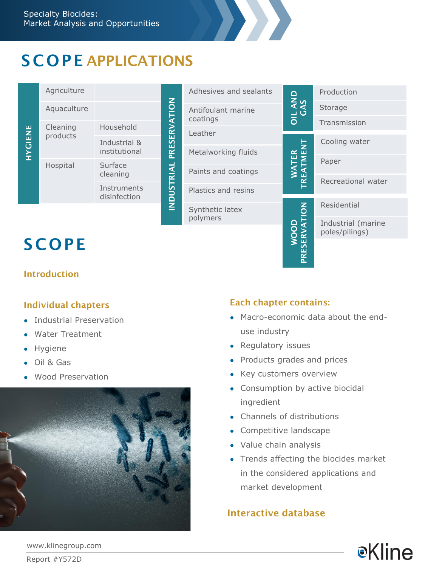# S COPE APPLICATIONS

| <b>HYGIENE</b>           | Agriculture |                               | PRESERVATION<br>USTRIAL<br>$\overline{2}$ | Adhesives and sealants                    | AND<br>AS<br>$\frac{1}{5}$ | Production                           |
|--------------------------|-------------|-------------------------------|-------------------------------------------|-------------------------------------------|----------------------------|--------------------------------------|
|                          | Aquaculture |                               |                                           | Antifoulant marine<br>coatings<br>Leather |                            | Storage                              |
|                          | Cleaning    | Household                     |                                           |                                           |                            | Transmission                         |
|                          | products    | Industrial &<br>institutional |                                           | Metalworking fluids                       | Ę<br>E                     | Cooling water                        |
|                          | Hospital    | Surface                       |                                           | Paints and coatings                       |                            | Paper                                |
|                          |             | cleaning<br>Instruments       |                                           | Plastics and resins                       |                            | Recreational water                   |
|                          |             | disinfection                  |                                           | Synthetic latex                           | $\overline{6}$             | Residential                          |
| polymers<br><b>SCOPE</b> |             |                               |                                           |                                           | ≏<br>ō<br>≃<br>ш<br>ā      | Industrial (marine<br>poles/pilings) |
|                          |             |                               |                                           |                                           |                            |                                      |

# **SCOPE**

### Introduction

#### Individual chapters

- Industrial Preservation
- **Water Treatment**
- Hygiene
- Oil & Gas
- Wood Preservation



### Each chapter contains:

• Macro-economic data about the enduse industry

- Regulatory issues
- Products grades and prices
- Key customers overview
- Consumption by active biocidal ingredient
- Channels of distributions
- Competitive landscape
- Value chain analysis
- Trends affecting the biocides market in the considered applications and market development

### Interactive database



www.klinegroup.com